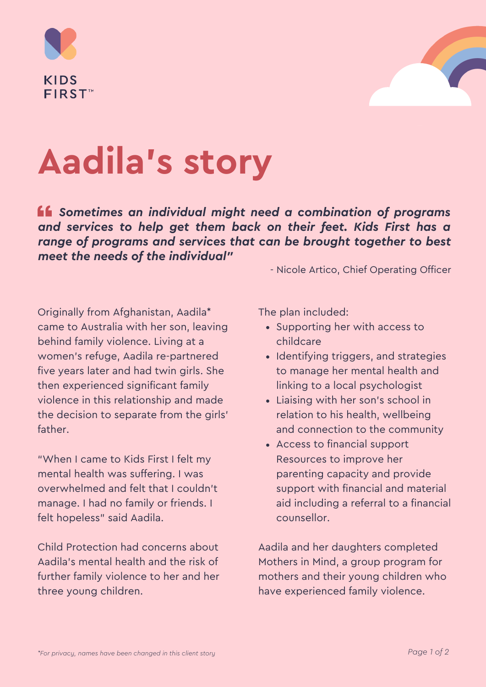



# **Aadila's story**

*Sometimes an individual might need a combination of programs and services to help get them back on their feet. Kids First has a range of programs and services that can be brought together to best meet the needs of the individual"*

- Nicole Artico, Chief Operating Officer

Originally from Afghanistan, Aadila\* came to Australia with her son, leaving behind family violence. Living at a women's refuge, Aadila re-partnered five years later and had twin girls. She then experienced significant family violence in this relationship and made the decision to separate from the girls' father.

"When I came to Kids First I felt my mental health was suffering. I was overwhelmed and felt that I couldn't manage. I had no family or friends. I felt hopeless" said Aadila.

Child Protection had concerns about Aadila's mental health and the risk of further family violence to her and her three young children.

The plan included:

- Supporting her with access to childcare
- Identifying triggers, and strategies to manage her mental health and linking to a local psychologist
- Liaising with her son's school in relation to his health, wellbeing and connection to the community
- Access to financial support Resources to improve her parenting capacity and provide support with financial and material aid including a referral to a financial counsellor.

Aadila and her daughters completed Mothers in Mind, a group program for mothers and their young children who have experienced family violence.